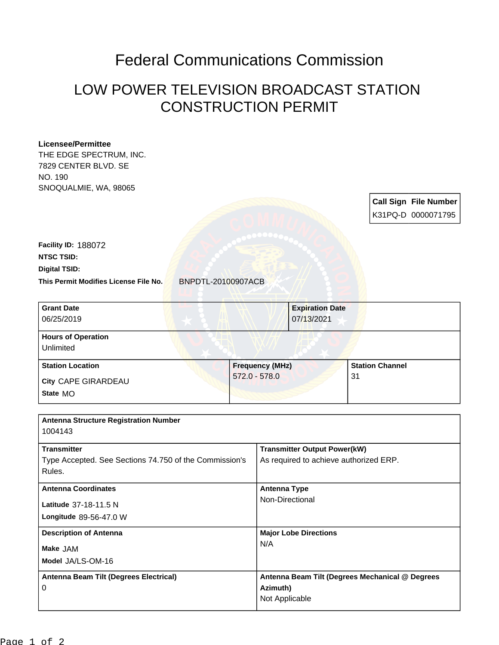## Federal Communications Commission

## LOW POWER TELEVISION BROADCAST STATION CONSTRUCTION PERMIT

## **Licensee/Permittee**

THE EDGE SPECTRUM, INC. 7829 CENTER BLVD. SE NO. 190 SNOQUALMIE, WA, 98065

> **Call Sign File Number** K31PQ-D 0000071795

**This Permit Modifies License File No.** BNPDTL-20100907ACB **Digital TSID: NTSC TSID: Facility ID:** 188072

| <b>Grant Date</b><br>06/25/2019        |                        | <b>Expiration Date</b><br>07/13/2021 |  |
|----------------------------------------|------------------------|--------------------------------------|--|
| <b>Hours of Operation</b><br>Unlimited |                        |                                      |  |
| <b>Station Location</b>                | <b>Frequency (MHz)</b> | <b>Station Channel</b>               |  |
| City CAPE GIRARDEAU<br>State MO        | $572.0 - 578.0$        | 31                                   |  |

| <b>Antenna Structure Registration Number</b>                                 |                                                                               |
|------------------------------------------------------------------------------|-------------------------------------------------------------------------------|
| 1004143                                                                      |                                                                               |
| <b>Transmitter</b><br>Type Accepted. See Sections 74.750 of the Commission's | <b>Transmitter Output Power(kW)</b><br>As required to achieve authorized ERP. |
| Rules.                                                                       |                                                                               |
| <b>Antenna Coordinates</b>                                                   | <b>Antenna Type</b>                                                           |
| Latitude 37-18-11.5 N                                                        | Non-Directional                                                               |
| Longitude 89-56-47.0 W                                                       |                                                                               |
| <b>Description of Antenna</b>                                                | <b>Major Lobe Directions</b>                                                  |
| Make JAM                                                                     | N/A                                                                           |
| Model JA/LS-OM-16                                                            |                                                                               |
| Antenna Beam Tilt (Degrees Electrical)                                       | Antenna Beam Tilt (Degrees Mechanical @ Degrees                               |
| 0                                                                            | Azimuth)                                                                      |
|                                                                              | Not Applicable                                                                |